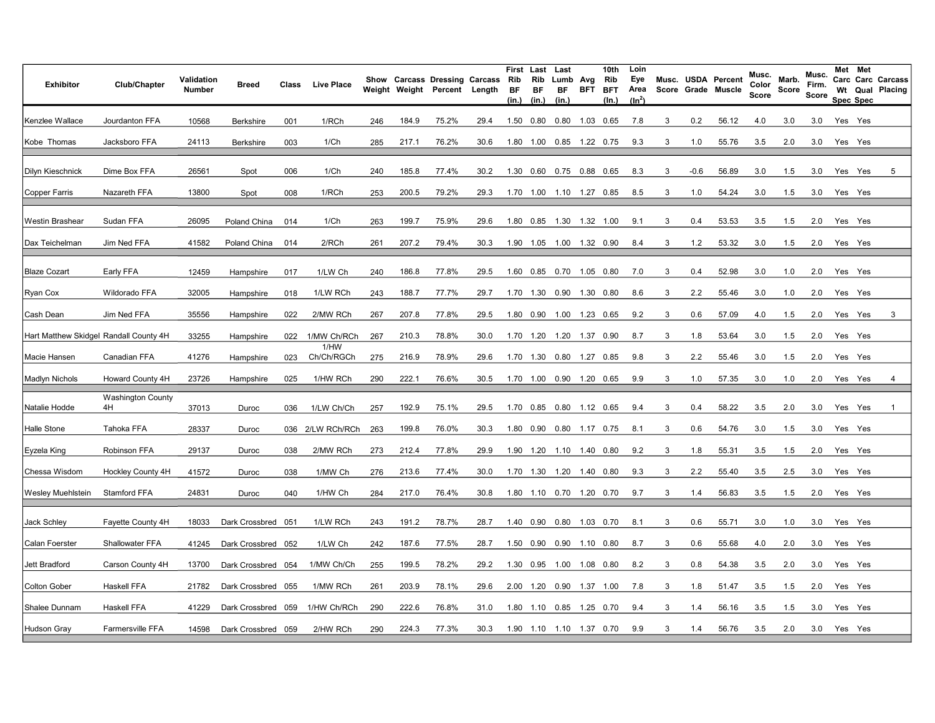| <b>Exhibitor</b>    | Club/Chapter                           | Validation<br><b>Number</b> | Breed              | Class | <b>Live Place</b>  |     | Weight Weight | Show Carcass Dressing Carcass<br>Percent Length |      | First<br>Rib<br>BF<br>(in.) | Last<br>Rib<br>ВF<br>(in.) | Last<br>Lumb Avg<br>BF<br>(in.) |      | 10th<br>Rib<br>BFT BFT<br>(In.) | Loin<br>Eye<br>Area<br>$(ln^2)$ |   |      | Musc. USDA Percent<br>Score Grade Muscle | Musc.<br>Color<br>Score | Marb.<br>Score | Musc.<br>Firm.<br>Score |         | Met Met<br><b>Spec Spec</b> | Carc Carc Carcass<br>Wt Qual Placing |
|---------------------|----------------------------------------|-----------------------------|--------------------|-------|--------------------|-----|---------------|-------------------------------------------------|------|-----------------------------|----------------------------|---------------------------------|------|---------------------------------|---------------------------------|---|------|------------------------------------------|-------------------------|----------------|-------------------------|---------|-----------------------------|--------------------------------------|
| Kenzlee Wallace     | Jourdanton FFA                         | 10568                       | Berkshire          | 001   | 1/RCh              | 246 | 184.9         | 75.2%                                           | 29.4 | 1.50                        | 0.80                       | 0.80                            |      | 1.03 0.65                       | 7.8                             | 3 | 0.2  | 56.12                                    | 4.0                     | 3.0            | 3.0                     |         | Yes Yes                     |                                      |
| Kobe Thomas         | Jacksboro FFA                          | 24113                       | Berkshire          | 003   | 1/Ch               | 285 | 217.1         | 76.2%                                           | 30.6 | 1.80                        | 1.00                       | 0.85 1.22 0.75                  |      |                                 | 9.3                             | 3 | 1.0  | 55.76                                    | 3.5                     | 2.0            | 3.0                     |         | Yes Yes                     |                                      |
| Dilyn Kieschnick    | Dime Box FFA                           | 26561                       | Spot               | 006   | 1/Ch               | 240 | 185.8         | 77.4%                                           | 30.2 | 1.30                        | 0.60                       | 0.75  0.88  0.65                |      |                                 | 8.3                             | 3 | -0.6 | 56.89                                    | 3.0                     | 1.5            | 3.0                     |         | Yes Yes                     | 5                                    |
| Copper Farris       | Nazareth FFA                           | 13800                       | Spot               | 008   | 1/RCh              | 253 | 200.5         | 79.2%                                           | 29.3 |                             |                            | 1.70  1.00  1.10  1.27  0.85    |      |                                 | 8.5                             | 3 | 1.0  | 54.24                                    | 3.0                     | 1.5            | 3.0                     | Yes Yes |                             |                                      |
| Westin Brashear     | Sudan FFA                              | 26095                       | Poland China       | 014   | 1/Ch               | 263 | 199.7         | 75.9%                                           | 29.6 | 1.80                        | 0.85                       | 1.30                            |      | 1.32 1.00                       | 9.1                             | 3 | 0.4  | 53.53                                    | 3.5                     | 1.5            | 2.0                     |         | Yes Yes                     |                                      |
| Dax Teichelman      | Jim Ned FFA                            | 41582                       | Poland China       | 014   | 2/RCh              | 261 | 207.2         | 79.4%                                           | 30.3 |                             |                            | 1.90  1.05  1.00  1.32  0.90    |      |                                 | 8.4                             | 3 | 1.2  | 53.32                                    | 3.0                     | 1.5            | 2.0                     | Yes Yes |                             |                                      |
| <b>Blaze Cozart</b> | Early FFA                              | 12459                       | Hampshire          | 017   | 1/LW Ch            | 240 | 186.8         | 77.8%                                           | 29.5 | 1.60                        | 0.85                       | 0.70                            |      | 1.05 0.80                       | 7.0                             | 3 | 0.4  | 52.98                                    | 3.0                     | 1.0            | 2.0                     |         | Yes Yes                     |                                      |
| Ryan Cox            | Wildorado FFA                          | 32005                       | Hampshire          | 018   | 1/LW RCh           | 243 | 188.7         | 77.7%                                           | 29.7 | 1.70                        | 1.30                       | 0.90 1.30 0.80                  |      |                                 | 8.6                             | 3 | 2.2  | 55.46                                    | 3.0                     | 1.0            | 2.0                     |         | Yes Yes                     |                                      |
| Cash Dean           | Jim Ned FFA                            | 35556                       | Hampshire          | 022   | 2/MW RCh           | 267 | 207.8         | 77.8%                                           | 29.5 | 1.80                        | 0.90                       | 1.00                            |      | 1.23 0.65                       | 9.2                             | 3 | 0.6  | 57.09                                    | 4.0                     | 1.5            | 2.0                     |         | Yes Yes                     | 3                                    |
|                     | Hart Matthew Skidgel Randall County 4H | 33255                       | Hampshire          | 022   | 1/MW Ch/RCh        | 267 | 210.3         | 78.8%                                           | 30.0 |                             |                            | 1.70  1.20  1.20  1.37  0.90    |      |                                 | 8.7                             | 3 | 1.8  | 53.64                                    | 3.0                     | 1.5            | 2.0                     |         | Yes Yes                     |                                      |
| Macie Hansen        | Canadian FFA                           | 41276                       | Hampshire          | 023   | 1/HW<br>Ch/Ch/RGCh | 275 | 216.9         | 78.9%                                           | 29.6 | 1.70                        | 1.30                       | 0.80                            |      | 1.27  0.85                      | 9.8                             | 3 | 2.2  | 55.46                                    | 3.0                     | 1.5            | 2.0                     |         | Yes Yes                     |                                      |
| Madlyn Nichols      | Howard County 4H                       | 23726                       | Hampshire          | 025   | 1/HW RCh           | 290 | 222.1         | 76.6%                                           | 30.5 |                             |                            | 1.70  1.00  0.90  1.20  0.65    |      |                                 | 9.9                             | 3 | 1.0  | 57.35                                    | 3.0                     | 1.0            | 2.0                     | Yes Yes |                             | 4                                    |
| Natalie Hodde       | <b>Washington County</b><br>4H         | 37013                       | Duroc              | 036   | 1/LW Ch/Ch         | 257 | 192.9         | 75.1%                                           | 29.5 | 1.70                        | 0.85                       | $0.80$ 1.12 0.65                |      |                                 | 9.4                             | 3 | 0.4  | 58.22                                    | 3.5                     | 2.0            | 3.0                     | Yes     | Yes                         | $\mathbf{1}$                         |
| Halle Stone         | Tahoka FFA                             | 28337                       | Duroc              |       | 036 2/LW RCh/RCh   | 263 | 199.8         | 76.0%                                           | 30.3 |                             | 1.80 0.90                  | 0.80 1.17 0.75                  |      |                                 | 8.1                             | 3 | 0.6  | 54.76                                    | 3.0                     | 1.5            | 3.0                     |         | Yes Yes                     |                                      |
| Eyzela King         | Robinson FFA                           | 29137                       | Duroc              | 038   | 2/MW RCh           | 273 | 212.4         | 77.8%                                           | 29.9 | 1.90                        | 1.20                       | 1.10  1.40  0.80                |      |                                 | 9.2                             | 3 | 1.8  | 55.31                                    | 3.5                     | 1.5            | 2.0                     |         | Yes Yes                     |                                      |
| Chessa Wisdom       | Hockley County 4H                      | 41572                       | Duroc              | 038   | 1/MW Ch            | 276 | 213.6         | 77.4%                                           | 30.0 | 1.70                        | 1.30                       | 1.20  1.40  0.80                |      |                                 | 9.3                             | 3 | 2.2  | 55.40                                    | 3.5                     | 2.5            | 3.0                     |         | Yes Yes                     |                                      |
| Wesley Muehlstein   | Stamford FFA                           | 24831                       | Duroc              | 040   | 1/HW Ch            | 284 | 217.0         | 76.4%                                           | 30.8 | 1.80                        | 1.10                       | 0.70  1.20  0.70                |      |                                 | 9.7                             | 3 | 1.4  | 56.83                                    | 3.5                     | 1.5            | 2.0                     | Yes Yes |                             |                                      |
| Jack Schley         | Fayette County 4H                      | 18033                       | Dark Crossbred 051 |       | 1/LW RCh           | 243 | 191.2         | 78.7%                                           | 28.7 |                             | 1.40 0.90                  | 0.80 1.03 0.70                  |      |                                 | 8.1                             | 3 | 0.6  | 55.71                                    | 3.0                     | 1.0            | 3.0                     | Yes Yes |                             |                                      |
| Calan Foerster      | Shallowater FFA                        | 41245                       | Dark Crossbred 052 |       | 1/LW Ch            | 242 | 187.6         | 77.5%                                           | 28.7 | 1.50                        | 0.90                       |                                 |      | $0.90$ 1.10 0.80                | 8.7                             | 3 | 0.6  | 55.68                                    | 4.0                     | 2.0            | 3.0                     |         | Yes Yes                     |                                      |
| Jett Bradford       | Carson County 4H                       | 13700                       | Dark Crossbred 054 |       | 1/MW Ch/Ch         | 255 | 199.5         | 78.2%                                           | 29.2 | 1.30                        | 0.95                       | 1.00                            |      | 1.08 0.80                       | 8.2                             | 3 | 0.8  | 54.38                                    | 3.5                     | 2.0            | 3.0                     |         | Yes Yes                     |                                      |
| <b>Colton Gober</b> | Haskell FFA                            | 21782                       | Dark Crossbred 055 |       | 1/MW RCh           | 261 | 203.9         | 78.1%                                           | 29.6 | 2.00                        | 1.20                       | 0.90                            | 1.37 | 1.00                            | 7.8                             | 3 | 1.8  | 51.47                                    | 3.5                     | 1.5            | 2.0                     |         | Yes Yes                     |                                      |
| Shalee Dunnam       | Haskell FFA                            | 41229                       | Dark Crossbred 059 |       | 1/HW Ch/RCh        | 290 | 222.6         | 76.8%                                           | 31.0 | 1.80                        | 1.10                       | 0.85 1.25 0.70                  |      |                                 | 9.4                             | 3 | 1.4  | 56.16                                    | 3.5                     | 1.5            | 3.0                     |         | Yes Yes                     |                                      |
| Hudson Gray         | <b>Farmersville FFA</b>                | 14598                       | Dark Crossbred 059 |       | 2/HW RCh           | 290 | 224.3         | 77.3%                                           | 30.3 |                             |                            | 1.90  1.10  1.10  1.37  0.70    |      |                                 | 9.9                             | 3 | 1.4  | 56.76                                    | 3.5                     | 2.0            | 3.0                     | Yes Yes |                             |                                      |